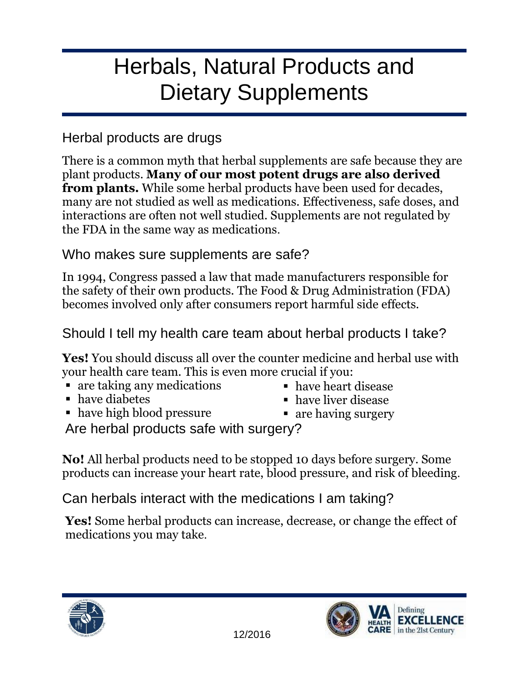## Herbals, Natural Products and Dietary Supplements

## Herbal products are drugs

There is a common myth that herbal supplements are safe because they are plant products. **Many of our most potent drugs are also derived from plants.** While some herbal products have been used for decades, many are not studied as well as medications. Effectiveness, safe doses, and interactions are often not well studied. Supplements are not regulated by the FDA in the same way as medications.

## Who makes sure supplements are safe?

In 1994, Congress passed a law that made manufacturers responsible for the safety of their own products. The Food & Drug Administration (FDA) becomes involved only after consumers report harmful side effects.

## Should I tell my health care team about herbal products I take?

**Yes!** You should discuss all over the counter medicine and herbal use with your health care team. This is even more crucial if you:

- are taking any medications
- have diabetes
- have high blood pressure
- have heart disease
- have liver disease
- are having surgery

Are herbal products safe with surgery?

**No!** All herbal products need to be stopped 10 days before surgery. Some products can increase your heart rate, blood pressure, and risk of bleeding.

Can herbals interact with the medications I am taking?

**Yes!** Some herbal products can increase, decrease, or change the effect of medications you may take.



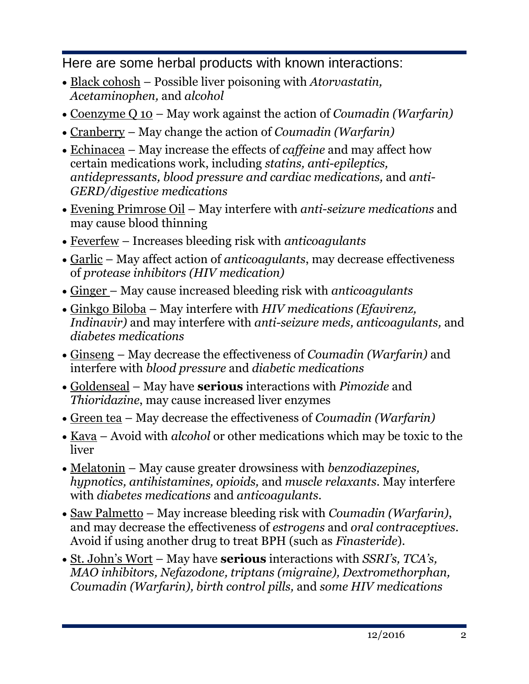Here are some herbal products with known interactions:

- Black cohosh Possible liver poisoning with *Atorvastatin, Acetaminophen,* and *alcohol*
- Coenzyme Q 10 May work against the action of *Coumadin (Warfarin)*
- Cranberry May change the action of *Coumadin (Warfarin)*
- Echinacea May increase the effects of *caffeine* and may affect how certain medications work, including *statins, anti-epileptics, antidepressants, blood pressure and cardiac medications,* and *anti-GERD/digestive medications*
- Evening Primrose Oil May interfere with *anti-seizure medications* and may cause blood thinning
- Feverfew Increases bleeding risk with *anticoagulants*
- Garlic May affect action of *anticoagulants*, may decrease effectiveness of *protease inhibitors (HIV medication)*
- Ginger May cause increased bleeding risk with *anticoagulants*
- Ginkgo Biloba May interfere with *HIV medications (Efavirenz, Indinavir)* and may interfere with *anti-seizure meds, anticoagulants,* and *diabetes medications*
- Ginseng May decrease the effectiveness of *Coumadin (Warfarin)* and interfere with *blood pressure* and *diabetic medications*
- Goldenseal May have **serious** interactions with *Pimozide* and *Thioridazine*, may cause increased liver enzymes
- Green tea May decrease the effectiveness of *Coumadin (Warfarin)*
- <u>Kava</u> Avoid with *alcohol* or other medications which may be toxic to the liver
- Melatonin May cause greater drowsiness with *benzodiazepines, hypnotics, antihistamines, opioids,* and *muscle relaxants*. May interfere with *diabetes medications* and *anticoagulants*.
- Saw Palmetto May increase bleeding risk with *Coumadin (Warfarin)*, and may decrease the effectiveness of *estrogens* and *oral contraceptives*. Avoid if using another drug to treat BPH (such as *Finasteride*).
- St. John's Wort May have **serious** interactions with *SSRI's, TCA's, MAO inhibitors, Nefazodone, triptans (migraine), Dextromethorphan, Coumadin (Warfarin), birth control pills,* and *some HIV medications*